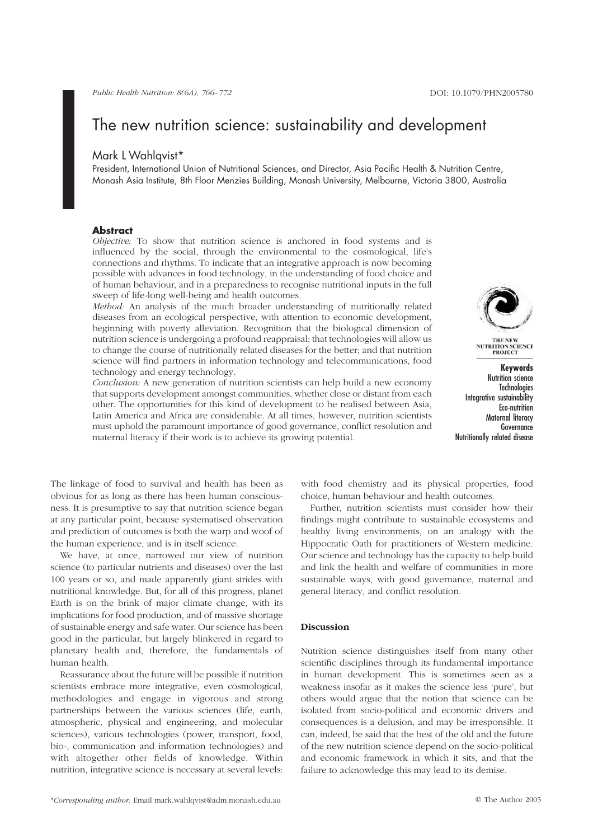# The new nutrition science: sustainability and development

# Mark L Wahlqvist\*

President, International Union of Nutritional Sciences, and Director, Asia Pacific Health & Nutrition Centre, Monash Asia Institute, 8th Floor Menzies Building, Monash University, Melbourne, Victoria 3800, Australia

# Abstract

Objective: To show that nutrition science is anchored in food systems and is influenced by the social, through the environmental to the cosmological, life's connections and rhythms. To indicate that an integrative approach is now becoming possible with advances in food technology, in the understanding of food choice and of human behaviour, and in a preparedness to recognise nutritional inputs in the full sweep of life-long well-being and health outcomes.

Method: An analysis of the much broader understanding of nutritionally related diseases from an ecological perspective, with attention to economic development, beginning with poverty alleviation. Recognition that the biological dimension of nutrition science is undergoing a profound reappraisal; that technologies will allow us to change the course of nutritionally related diseases for the better; and that nutrition science will find partners in information technology and telecommunications, food technology and energy technology.

Conclusion: A new generation of nutrition scientists can help build a new economy that supports development amongst communities, whether close or distant from each other. The opportunities for this kind of development to be realised between Asia, Latin America and Africa are considerable. At all times, however, nutrition scientists must uphold the paramount importance of good governance, conflict resolution and maternal literacy if their work is to achieve its growing potential.



THE NEW NUTRITION SCIENCE<br>PROJECT

Keywords Nutrition science **Technologies** Integrative sustainability Eco-nutrition Maternal literacy **Governance** Nutritionally related disease

The linkage of food to survival and health has been as obvious for as long as there has been human consciousness. It is presumptive to say that nutrition science began at any particular point, because systematised observation and prediction of outcomes is both the warp and woof of the human experience, and is in itself science.

We have, at once, narrowed our view of nutrition science (to particular nutrients and diseases) over the last 100 years or so, and made apparently giant strides with nutritional knowledge. But, for all of this progress, planet Earth is on the brink of major climate change, with its implications for food production, and of massive shortage of sustainable energy and safe water. Our science has been good in the particular, but largely blinkered in regard to planetary health and, therefore, the fundamentals of human health.

Reassurance about the future will be possible if nutrition scientists embrace more integrative, even cosmological, methodologies and engage in vigorous and strong partnerships between the various sciences (life, earth, atmospheric, physical and engineering, and molecular sciences), various technologies (power, transport, food, bio-, communication and information technologies) and with altogether other fields of knowledge. Within nutrition, integrative science is necessary at several levels: with food chemistry and its physical properties, food choice, human behaviour and health outcomes.

Further, nutrition scientists must consider how their findings might contribute to sustainable ecosystems and healthy living environments, on an analogy with the Hippocratic Oath for practitioners of Western medicine. Our science and technology has the capacity to help build and link the health and welfare of communities in more sustainable ways, with good governance, maternal and general literacy, and conflict resolution.

# Discussion

Nutrition science distinguishes itself from many other scientific disciplines through its fundamental importance in human development. This is sometimes seen as a weakness insofar as it makes the science less 'pure', but others would argue that the notion that science can be isolated from socio-political and economic drivers and consequences is a delusion, and may be irresponsible. It can, indeed, be said that the best of the old and the future of the new nutrition science depend on the socio-political and economic framework in which it sits, and that the failure to acknowledge this may lead to its demise.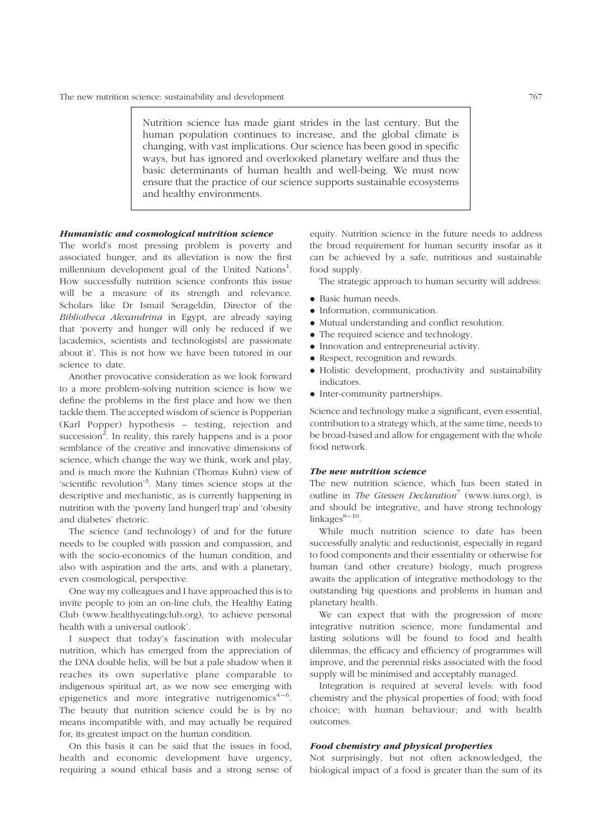Nutrition science has made giant strides in the last century. But the human population continues to increase, and the global climate is changing, with vast implications. Our science has been good in specific ways, but has ignored and overlooked planetary welfare and thus the basic determinants of human health and well-being. We must now ensure that the practice of our science supports sustainable ecosystems and healthy environments.

# Humanistic and cosmological nutrition science

The world's most pressing problem is poverty and associated hunger, and its alleviation is now the first millennium development goal of the United Nations<sup>1</sup>. How successfully nutrition science confronts this issue will be a measure of its strength and relevance. Scholars like Dr Ismail Serageldin, Director of the Bibliotheca Alexandrina in Egypt, are already saying that 'poverty and hunger will only be reduced if we [academics, scientists and technologists] are passionate about it'. This is not how we have been tutored in our science to date.

Another provocative consideration as we look forward to a more problem-solving nutrition science is how we define the problems in the first place and how we then tackle them. The accepted wisdom of science is Popperian (Karl Popper) hypothesis – testing, rejection and succession<sup>2</sup>. In reality, this rarely happens and is a poor semblance of the creative and innovative dimensions of science, which change the way we think, work and play, and is much more the Kuhnian (Thomas Kuhn) view of 'scientific revolution'<sup>3</sup>. Many times science stops at the descriptive and mechanistic, as is currently happening in nutrition with the 'poverty [and hunger] trap' and 'obesity and diabetes' rhetoric.

The science (and technology) of and for the future needs to be coupled with passion and compassion, and with the socio-economics of the human condition, and also with aspiration and the arts, and with a planetary, even cosmological, perspective.

One way my colleagues and I have approached this is to invite people to join an on-line club, the Healthy Eating Club (www.healthyeatingclub.org), 'to achieve personal health with a universal outlook'.

I suspect that today's fascination with molecular nutrition, which has emerged from the appreciation of the DNA double helix, will be but a pale shadow when it reaches its own superlative plane comparable to indigenous spiritual art, as we now see emerging with epigenetics and more integrative nutrigenomics $4-6$ . The beauty that nutrition science could be is by no means incompatible with, and may actually be required for, its greatest impact on the human condition.

On this basis it can be said that the issues in food, health and economic development have urgency, requiring a sound ethical basis and a strong sense of

equity. Nutrition science in the future needs to address the broad requirement for human security insofar as it can be achieved by a safe, nutritious and sustainable food supply.

The strategic approach to human security will address:

- . Basic human needs.
- . Information, communication.
- . Mutual understanding and conflict resolution.
- . The required science and technology.
- . Innovation and entrepreneurial activity.
- . Respect, recognition and rewards.
- . Holistic development, productivity and sustainability indicators.
- . Inter-community partnerships.

Science and technology make a significant, even essential, contribution to a strategy which, at the same time, needs to be broad-based and allow for engagement with the whole food network.

### The new nutrition science

The new nutrition science, which has been stated in outline in The Giessen Declaration<sup>7</sup> (www.iuns.org), is and should be integrative, and have strong technology  $linkages^{8-10}$ .

While much nutrition science to date has been successfully analytic and reductionist, especially in regard to food components and their essentiality or otherwise for human (and other creature) biology, much progress awaits the application of integrative methodology to the outstanding big questions and problems in human and planetary health.

We can expect that with the progression of more integrative nutrition science, more fundamental and lasting solutions will be found to food and health dilemmas, the efficacy and efficiency of programmes will improve, and the perennial risks associated with the food supply will be minimised and acceptably managed.

Integration is required at several levels: with food chemistry and the physical properties of food; with food choice; with human behaviour; and with health outcomes.

### Food chemistry and physical properties

Not surprisingly, but not often acknowledged, the biological impact of a food is greater than the sum of its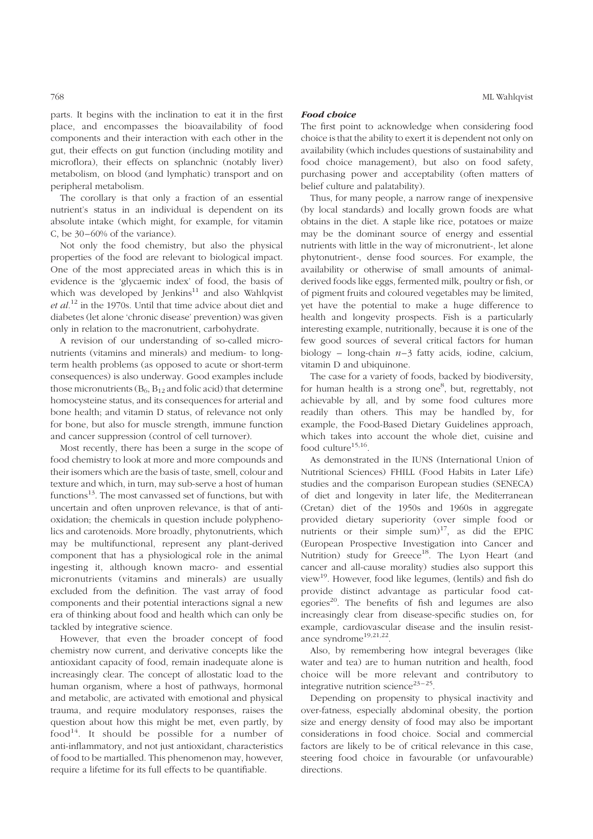parts. It begins with the inclination to eat it in the first place, and encompasses the bioavailability of food components and their interaction with each other in the gut, their effects on gut function (including motility and microflora), their effects on splanchnic (notably liver) metabolism, on blood (and lymphatic) transport and on peripheral metabolism.

The corollary is that only a fraction of an essential nutrient's status in an individual is dependent on its absolute intake (which might, for example, for vitamin C, be 30–60% of the variance).

Not only the food chemistry, but also the physical properties of the food are relevant to biological impact. One of the most appreciated areas in which this is in evidence is the 'glycaemic index' of food, the basis of which was developed by Jenkins $11$  and also Wahlqvist et  $al^{12}$  in the 1970s. Until that time advice about diet and diabetes (let alone 'chronic disease' prevention) was given only in relation to the macronutrient, carbohydrate.

A revision of our understanding of so-called micronutrients (vitamins and minerals) and medium- to longterm health problems (as opposed to acute or short-term consequences) is also underway. Good examples include those micronutrients  $(B_6, B_{12}$  and folic acid) that determine homocysteine status, and its consequences for arterial and bone health; and vitamin D status, of relevance not only for bone, but also for muscle strength, immune function and cancer suppression (control of cell turnover).

Most recently, there has been a surge in the scope of food chemistry to look at more and more compounds and their isomers which are the basis of taste, smell, colour and texture and which, in turn, may sub-serve a host of human  $functions<sup>13</sup>$ . The most canvassed set of functions, but with uncertain and often unproven relevance, is that of antioxidation; the chemicals in question include polyphenolics and carotenoids. More broadly, phytonutrients, which may be multifunctional, represent any plant-derived component that has a physiological role in the animal ingesting it, although known macro- and essential micronutrients (vitamins and minerals) are usually excluded from the definition. The vast array of food components and their potential interactions signal a new era of thinking about food and health which can only be tackled by integrative science.

However, that even the broader concept of food chemistry now current, and derivative concepts like the antioxidant capacity of food, remain inadequate alone is increasingly clear. The concept of allostatic load to the human organism, where a host of pathways, hormonal and metabolic, are activated with emotional and physical trauma, and require modulatory responses, raises the question about how this might be met, even partly, by food $14$ . It should be possible for a number of anti-inflammatory, and not just antioxidant, characteristics of food to be martialled. This phenomenon may, however, require a lifetime for its full effects to be quantifiable.

### Food choice

The first point to acknowledge when considering food choice is that the ability to exert it is dependent not only on availability (which includes questions of sustainability and food choice management), but also on food safety, purchasing power and acceptability (often matters of belief culture and palatability).

Thus, for many people, a narrow range of inexpensive (by local standards) and locally grown foods are what obtains in the diet. A staple like rice, potatoes or maize may be the dominant source of energy and essential nutrients with little in the way of micronutrient-, let alone phytonutrient-, dense food sources. For example, the availability or otherwise of small amounts of animalderived foods like eggs, fermented milk, poultry or fish, or of pigment fruits and coloured vegetables may be limited, yet have the potential to make a huge difference to health and longevity prospects. Fish is a particularly interesting example, nutritionally, because it is one of the few good sources of several critical factors for human biology – long-chain  $n-3$  fatty acids, iodine, calcium, vitamin D and ubiquinone.

The case for a variety of foods, backed by biodiversity, for human health is a strong one<sup>8</sup>, but, regrettably, not achievable by all, and by some food cultures more readily than others. This may be handled by, for example, the Food-Based Dietary Guidelines approach, which takes into account the whole diet, cuisine and food culture $^{15,16}$ .

As demonstrated in the IUNS (International Union of Nutritional Sciences) FHILL (Food Habits in Later Life) studies and the comparison European studies (SENECA) of diet and longevity in later life, the Mediterranean (Cretan) diet of the 1950s and 1960s in aggregate provided dietary superiority (over simple food or nutrients or their simple sum) $17$ , as did the EPIC (European Prospective Investigation into Cancer and Nutrition) study for Greece<sup>18</sup>. The Lyon Heart (and cancer and all-cause morality) studies also support this view<sup>19</sup>. However, food like legumes, (lentils) and fish do provide distinct advantage as particular food categories<sup>20</sup>. The benefits of fish and legumes are also increasingly clear from disease-specific studies on, for example, cardiovascular disease and the insulin resistance syndrome<sup>19,21,22</sup>.

Also, by remembering how integral beverages (like water and tea) are to human nutrition and health, food choice will be more relevant and contributory to integrative nutrition science<sup>23-25</sup>.

Depending on propensity to physical inactivity and over-fatness, especially abdominal obesity, the portion size and energy density of food may also be important considerations in food choice. Social and commercial factors are likely to be of critical relevance in this case, steering food choice in favourable (or unfavourable) directions.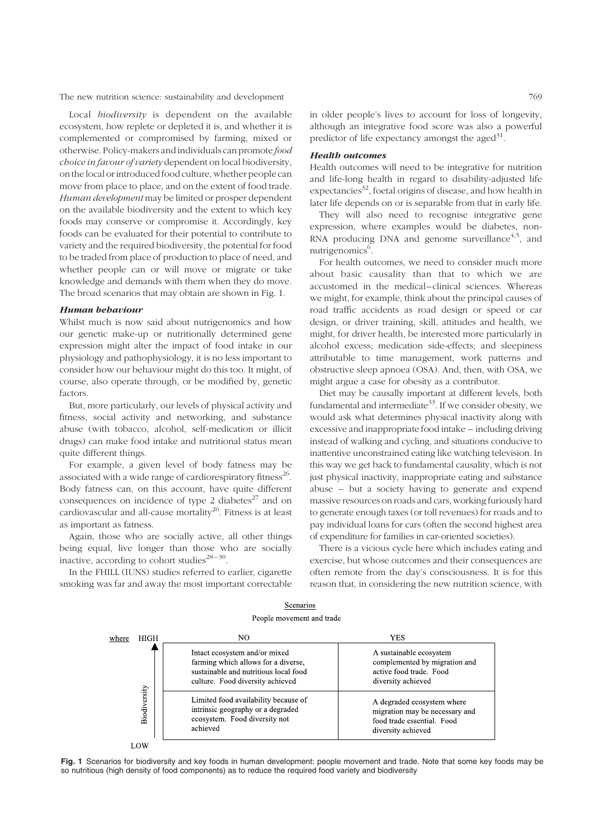The new nutrition science: sustainability and development 769

Local biodiversity is dependent on the available ecosystem, how replete or depleted it is, and whether it is complemented or compromised by farming, mixed or otherwise. Policy-makers and individuals can promote food choice in favour of variety dependent on local biodiversity, on the local or introduced food culture, whether people can move from place to place, and on the extent of food trade. Human development may be limited or prosper dependent on the available biodiversity and the extent to which key foods may conserve or compromise it. Accordingly, key foods can be evaluated for their potential to contribute to variety and the required biodiversity, the potential for food to be traded from place of production to place of need, and whether people can or will move or migrate or take knowledge and demands with them when they do move. The broad scenarios that may obtain are shown in Fig. 1.

### Human behaviour

Whilst much is now said about nutrigenomics and how our genetic make-up or nutritionally determined gene expression might alter the impact of food intake in our physiology and pathophysiology, it is no less important to consider how our behaviour might do this too. It might, of course, also operate through, or be modified by, genetic factors.

But, more particularly, our levels of physical activity and fitness, social activity and networking, and substance abuse (with tobacco, alcohol, self-medication or illicit drugs) can make food intake and nutritional status mean quite different things.

For example, a given level of body fatness may be associated with a wide range of cardiorespiratory fitness<sup>26</sup>. Body fatness can, on this account, have quite different consequences on incidence of type 2 diabetes $^{27}$  and on cardiovascular and all-cause mortality<sup>26</sup>. Fitness is at least as important as fatness.

Again, those who are socially active, all other things being equal, live longer than those who are socially inactive, according to cohort studies $^{28-30}$ .

In the FHILL (IUNS) studies referred to earlier, cigarette smoking was far and away the most important correctable

in older people's lives to account for loss of longevity, although an integrative food score was also a powerful predictor of life expectancy amongst the aged $3^1$ .

### Health outcomes

Health outcomes will need to be integrative for nutrition and life-long health in regard to disability-adjusted life expectancies<sup>32</sup>, foetal origins of disease, and how health in later life depends on or is separable from that in early life.

They will also need to recognise integrative gene expression, where examples would be diabetes, non-RNA producing DNA and genome surveillance $4,5$ , and nutrigenomics<sup>6</sup>.

For health outcomes, we need to consider much more about basic causality than that to which we are accustomed in the medical –clinical sciences. Whereas we might, for example, think about the principal causes of road traffic accidents as road design or speed or car design, or driver training, skill, attitudes and health, we might, for driver health, be interested more particularly in alcohol excess; medication side-effects; and sleepiness attributable to time management, work patterns and obstructive sleep apnoea (OSA). And, then, with OSA, we might argue a case for obesity as a contributor.

Diet may be causally important at different levels, both fundamental and intermediate<sup>33</sup>. If we consider obesity, we would ask what determines physical inactivity along with excessive and inappropriate food intake – including driving instead of walking and cycling, and situations conducive to inattentive unconstrained eating like watching television. In this way we get back to fundamental causality, which is not just physical inactivity, inappropriate eating and substance abuse – but a society having to generate and expend massive resources on roads and cars, working furiously hard to generate enough taxes (or toll revenues) for roads and to pay individual loans for cars (often the second highest area of expenditure for families in car-oriented societies).

There is a vicious cycle here which includes eating and exercise, but whose outcomes and their consequences are often remote from the day's consciousness. It is for this reason that, in considering the new nutrition science, with



# Scenarios

Fig. 1 Scenarios for biodiversity and key foods in human development: people movement and trade. Note that some key foods may be so nutritious (high density of food components) as to reduce the required food variety and biodiversity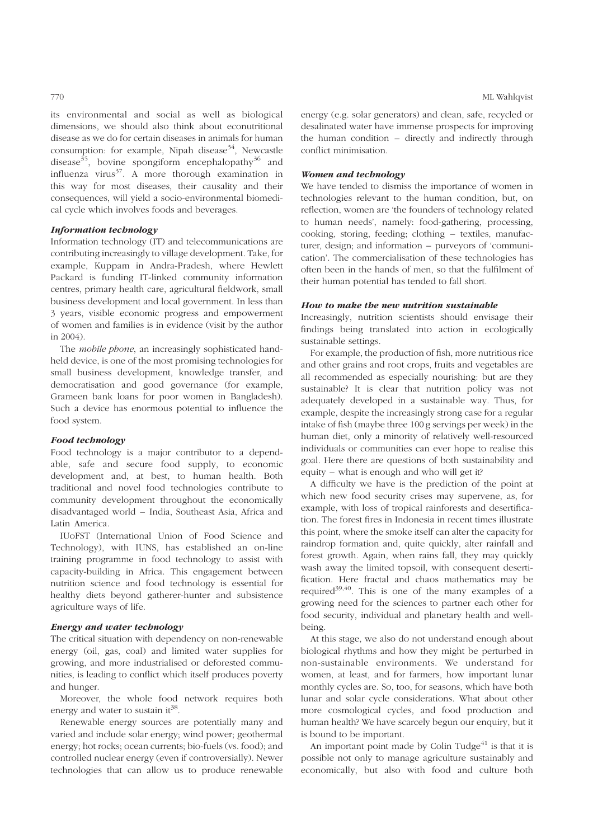its environmental and social as well as biological dimensions, we should also think about econutritional disease as we do for certain diseases in animals for human consumption: for example, Nipah disease<sup>34</sup>, Newcastle disease<sup>35</sup>, bovine spongiform encephalopathy<sup>36</sup> and influenza virus $3^7$ . A more thorough examination in this way for most diseases, their causality and their consequences, will yield a socio-environmental biomedical cycle which involves foods and beverages.

# Information technology

Information technology (IT) and telecommunications are contributing increasingly to village development. Take, for example, Kuppam in Andra-Pradesh, where Hewlett Packard is funding IT-linked community information centres, primary health care, agricultural fieldwork, small business development and local government. In less than 3 years, visible economic progress and empowerment of women and families is in evidence (visit by the author in 2004).

The mobile phone, an increasingly sophisticated handheld device, is one of the most promising technologies for small business development, knowledge transfer, and democratisation and good governance (for example, Grameen bank loans for poor women in Bangladesh). Such a device has enormous potential to influence the food system.

# Food technology

Food technology is a major contributor to a dependable, safe and secure food supply, to economic development and, at best, to human health. Both traditional and novel food technologies contribute to community development throughout the economically disadvantaged world – India, Southeast Asia, Africa and Latin America.

IUoFST (International Union of Food Science and Technology), with IUNS, has established an on-line training programme in food technology to assist with capacity-building in Africa. This engagement between nutrition science and food technology is essential for healthy diets beyond gatherer-hunter and subsistence agriculture ways of life.

# Energy and water technology

The critical situation with dependency on non-renewable energy (oil, gas, coal) and limited water supplies for growing, and more industrialised or deforested communities, is leading to conflict which itself produces poverty and hunger.

Moreover, the whole food network requires both energy and water to sustain  $it^{38}$ .

Renewable energy sources are potentially many and varied and include solar energy; wind power; geothermal energy; hot rocks; ocean currents; bio-fuels (vs. food); and controlled nuclear energy (even if controversially). Newer technologies that can allow us to produce renewable energy (e.g. solar generators) and clean, safe, recycled or desalinated water have immense prospects for improving the human condition – directly and indirectly through conflict minimisation.

# Women and technology

We have tended to dismiss the importance of women in technologies relevant to the human condition, but, on reflection, women are 'the founders of technology related to human needs', namely: food-gathering, processing, cooking, storing, feeding; clothing – textiles, manufacturer, design; and information – purveyors of 'communication'. The commercialisation of these technologies has often been in the hands of men, so that the fulfilment of their human potential has tended to fall short.

### How to make the new nutrition sustainable

Increasingly, nutrition scientists should envisage their findings being translated into action in ecologically sustainable settings.

For example, the production of fish, more nutritious rice and other grains and root crops, fruits and vegetables are all recommended as especially nourishing: but are they sustainable? It is clear that nutrition policy was not adequately developed in a sustainable way. Thus, for example, despite the increasingly strong case for a regular intake of fish (maybe three 100 g servings per week) in the human diet, only a minority of relatively well-resourced individuals or communities can ever hope to realise this goal. Here there are questions of both sustainability and equity – what is enough and who will get it?

A difficulty we have is the prediction of the point at which new food security crises may supervene, as, for example, with loss of tropical rainforests and desertification. The forest fires in Indonesia in recent times illustrate this point, where the smoke itself can alter the capacity for raindrop formation and, quite quickly, alter rainfall and forest growth. Again, when rains fall, they may quickly wash away the limited topsoil, with consequent desertification. Here fractal and chaos mathematics may be required $39,40$ . This is one of the many examples of a growing need for the sciences to partner each other for food security, individual and planetary health and wellbeing.

At this stage, we also do not understand enough about biological rhythms and how they might be perturbed in non-sustainable environments. We understand for women, at least, and for farmers, how important lunar monthly cycles are. So, too, for seasons, which have both lunar and solar cycle considerations. What about other more cosmological cycles, and food production and human health? We have scarcely begun our enquiry, but it is bound to be important.

An important point made by Colin Tudge $41$  is that it is possible not only to manage agriculture sustainably and economically, but also with food and culture both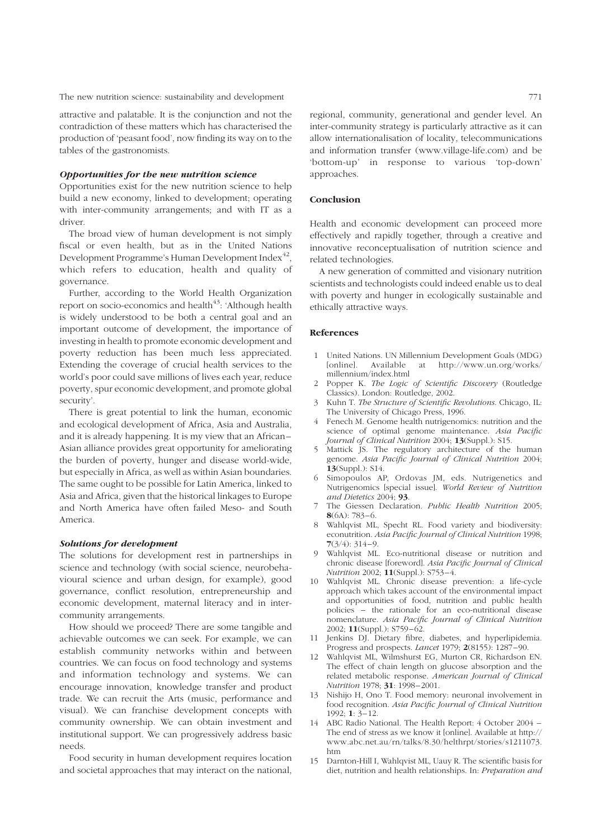The new nutrition science: sustainability and development 771

attractive and palatable. It is the conjunction and not the contradiction of these matters which has characterised the production of 'peasant food', now finding its way on to the tables of the gastronomists.

# Opportunities for the new nutrition science

Opportunities exist for the new nutrition science to help build a new economy, linked to development; operating with inter-community arrangements; and with IT as a driver.

The broad view of human development is not simply fiscal or even health, but as in the United Nations Development Programme's Human Development Index $42$ , which refers to education, health and quality of governance.

Further, according to the World Health Organization report on socio-economics and health $43$ : 'Although health is widely understood to be both a central goal and an important outcome of development, the importance of investing in health to promote economic development and poverty reduction has been much less appreciated. Extending the coverage of crucial health services to the world's poor could save millions of lives each year, reduce poverty, spur economic development, and promote global security'.

There is great potential to link the human, economic and ecological development of Africa, Asia and Australia, and it is already happening. It is my view that an African– Asian alliance provides great opportunity for ameliorating the burden of poverty, hunger and disease world-wide, but especially in Africa, as well as within Asian boundaries. The same ought to be possible for Latin America, linked to Asia and Africa, given that the historical linkages to Europe and North America have often failed Meso- and South America.

### Solutions for development

The solutions for development rest in partnerships in science and technology (with social science, neurobehavioural science and urban design, for example), good governance, conflict resolution, entrepreneurship and economic development, maternal literacy and in intercommunity arrangements.

How should we proceed? There are some tangible and achievable outcomes we can seek. For example, we can establish community networks within and between countries. We can focus on food technology and systems and information technology and systems. We can encourage innovation, knowledge transfer and product trade. We can recruit the Arts (music, performance and visual). We can franchise development concepts with community ownership. We can obtain investment and institutional support. We can progressively address basic needs.

Food security in human development requires location and societal approaches that may interact on the national,

regional, community, generational and gender level. An inter-community strategy is particularly attractive as it can allow internationalisation of locality, telecommunications and information transfer (www.village-life.com) and be 'bottom-up' in response to various 'top-down' approaches.

# Conclusion

Health and economic development can proceed more effectively and rapidly together, through a creative and innovative reconceptualisation of nutrition science and related technologies.

A new generation of committed and visionary nutrition scientists and technologists could indeed enable us to deal with poverty and hunger in ecologically sustainable and ethically attractive ways.

### References

- 1 United Nations. UN Millennium Development Goals (MDG) [online]. Available at http://www.un.org/works/ millennium/index.html
- 2 Popper K. The Logic of Scientific Discovery (Routledge Classics). London: Routledge, 2002.
- 3 Kuhn T. The Structure of Scientific Revolutions. Chicago, IL: The University of Chicago Press, 1996.
- Fenech M. Genome health nutrigenomics: nutrition and the science of optimal genome maintenance. Asia Pacific Journal of Clinical Nutrition 2004; 13(Suppl.): S15.
- 5 Mattick JS. The regulatory architecture of the human genome. Asia Pacific Journal of Clinical Nutrition 2004; 13(Suppl.): S14.
- Simopoulos AP, Ordovas JM, eds. Nutrigenetics and Nutrigenomics [special issue]. World Review of Nutrition and Dietetics 2004; 93.
- The Giessen Declaration. Public Health Nutrition 2005;  $8(6A): 783 - 6.$
- Wahlqvist ML, Specht RL. Food variety and biodiversity: econutrition. Asia Pacific Journal of Clinical Nutrition 1998;  $7(3/4): 314 - 9.$
- 9 Wahlqvist ML. Eco-nutritional disease or nutrition and chronic disease [foreword]. Asia Pacific Journal of Clinical Nutrition 2002; 11(Suppl.): S753-4.
- 10 Wahlqvist ML. Chronic disease prevention: a life-cycle approach which takes account of the environmental impact and opportunities of food, nutrition and public health policies – the rationale for an eco-nutritional disease nomenclature. Asia Pacific Journal of Clinical Nutrition 2002; 11(Suppl.): S759 – 62.
- 11 Jenkins DJ. Dietary fibre, diabetes, and hyperlipidemia. Progress and prospects. Lancet 1979; 2(8155): 1287 – 90.
- Wahlqvist ML, Wilmshurst EG, Murton CR, Richardson EN. The effect of chain length on glucose absorption and the related metabolic response. American Journal of Clinical Nutrition 1978; **31**: 1998-2001.
- 13 Nishijo H, Ono T. Food memory: neuronal involvement in food recognition. Asia Pacific Journal of Clinical Nutrition  $1992: 1: 3 - 12.$
- 14 ABC Radio National. The Health Report: 4 October 2004 The end of stress as we know it [online]. Available at http:// www.abc.net.au/rn/talks/8.30/helthrpt/stories/s1211073. htm
- 15 Darnton-Hill I, Wahlqvist ML, Uauy R. The scientific basis for diet, nutrition and health relationships. In: Preparation and